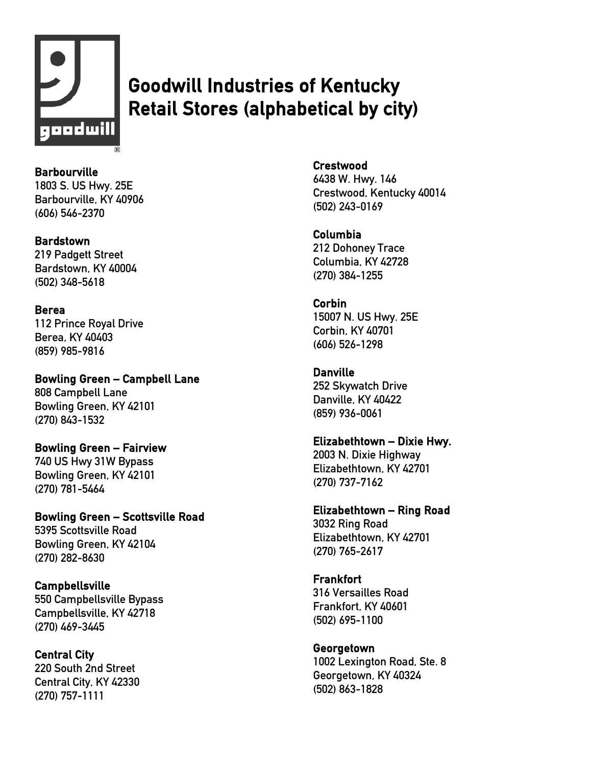

# Goodwill Industries of Kentucky Retail Stores (alphabetical by city)

**Barbourville** 1803 S. US Hwy. 25E Barbourville, KY 40906 (606) 546-2370

#### **Bardstown**

219 Padgett Street Bardstown, KY 40004 (502) 348-5618

# Berea

112 Prince Royal Drive Berea, KY 40403 (859) 985-9816

Bowling Green – Campbell Lane 808 Campbell Lane Bowling Green, KY 42101 (270) 843-1532

Bowling Green – Fairview 740 US Hwy 31W Bypass Bowling Green, KY 42101 (270) 781-5464

Bowling Green – Scottsville Road 5395 Scottsville Road Bowling Green, KY 42104 (270) 282-8630

Campbellsville

550 Campbellsville Bypass Campbellsville, KY 42718 (270) 469-3445

Central City 220 South 2nd Street Central City, KY 42330 (270) 757-1111

Crestwood

6438 W. Hwy. 146 Crestwood, Kentucky 40014 (502) 243-0169

Columbia 212 Dohoney Trace Columbia, KY 42728 (270) 384-1255

# Corbin

15007 N. US Hwy. 25E Corbin, KY 40701 (606) 526-1298

Danville

252 Skywatch Drive Danville, KY 40422 (859) 936-0061

Elizabethtown – Dixie Hwy.

2003 N. Dixie Highway Elizabethtown, KY 42701 (270) 737-7162

Elizabethtown – Ring Road 3032 Ring Road Elizabethtown, KY 42701 (270) 765-2617

**Frankfort** 316 Versailles Road Frankfort, KY 40601 (502) 695-1100

Georgetown 1002 Lexington Road, Ste. 8 Georgetown, KY 40324 (502) 863-1828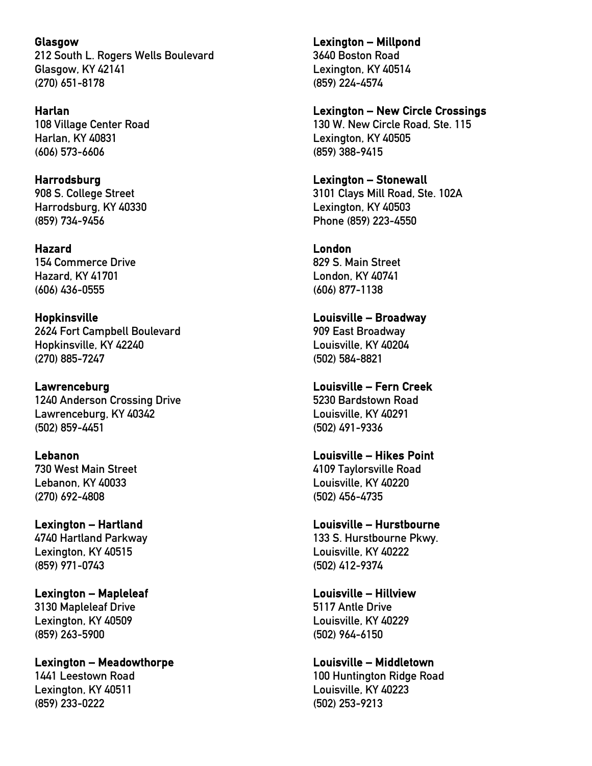Glasgow 212 South L. Rogers Wells Boulevard Glasgow, KY 42141 (270) 651-8178

Harlan 108 Village Center Road Harlan, KY 40831 (606) 573-6606

Harrodsburg 908 S. College Street Harrodsburg, KY 40330 (859) 734-9456

#### Hazard 154 Commerce Drive Hazard, KY 41701 (606) 436-0555

Hopkinsville 2624 Fort Campbell Boulevard Hopkinsville, KY 42240 (270) 885-7247

Lawrenceburg 1240 Anderson Crossing Drive Lawrenceburg, KY 40342 (502) 859-4451

Lebanon 730 West Main Street Lebanon, KY 40033 (270) 692-4808

Lexington – Hartland 4740 Hartland Parkway Lexington, KY 40515 (859) 971-0743

Lexington – Mapleleaf 3130 Mapleleaf Drive Lexington, KY 40509 (859) 263-5900

Lexington – Meadowthorpe 1441 Leestown Road Lexington, KY 40511 (859) 233-0222

Lexington – Millpond 3640 Boston Road Lexington, KY 40514 (859) 224-4574

Lexington – New Circle Crossings

130 W. New Circle Road, Ste. 115 Lexington, KY 40505 (859) 388-9415

# Lexington – Stonewall

3101 Clays Mill Road, Ste. 102A Lexington, KY 40503 Phone (859) 223-4550

London

829 S. Main Street London, KY 40741 (606) 877-1138

Louisville – Broadway 909 East Broadway Louisville, KY 40204 (502) 584-8821

Louisville – Fern Creek 5230 Bardstown Road Louisville, KY 40291 (502) 491-9336

Louisville – Hikes Point 4109 Taylorsville Road Louisville, KY 40220 (502) 456-4735

Louisville – Hurstbourne 133 S. Hurstbourne Pkwy.

Louisville, KY 40222 (502) 412-9374

Louisville – Hillview 5117 Antle Drive Louisville, KY 40229 (502) 964-6150

Louisville – Middletown 100 Huntington Ridge Road Louisville, KY 40223 (502) 253-9213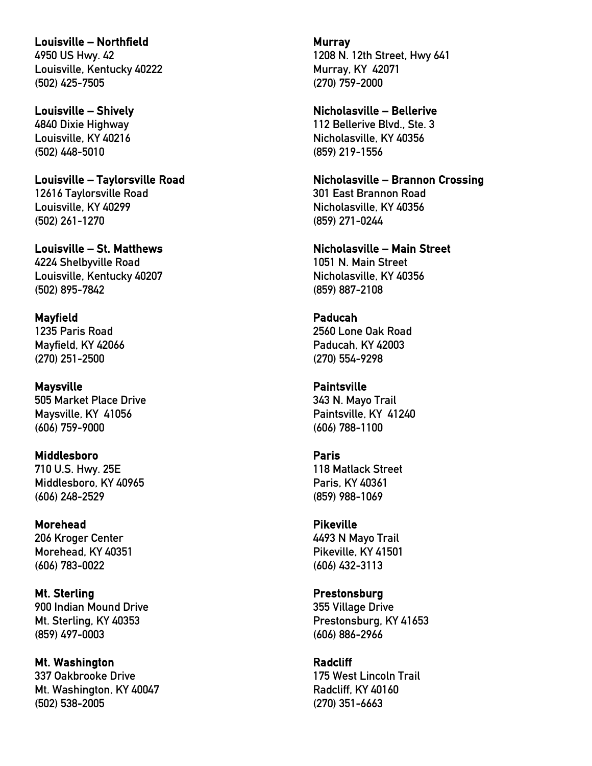Louisville – Northfield 4950 US Hwy. 42 Louisville, Kentucky 40222 (502) 425-7505

Louisville – Shively 4840 Dixie Highway Louisville, KY 40216 (502) 448-5010

Louisville – Taylorsville Road 12616 Taylorsville Road Louisville, KY 40299 (502) 261-1270

Louisville – St. Matthews 4224 Shelbyville Road Louisville, Kentucky 40207 (502) 895-7842

Mayfield 1235 Paris Road Mayfield, KY 42066 (270) 251-2500

Maysville 505 Market Place Drive Maysville, KY 41056 (606) 759-9000

Middlesboro 710 U.S. Hwy. 25E Middlesboro, KY 40965 (606) 248-2529

Morehead 206 Kroger Center Morehead, KY 40351 (606) 783-0022

Mt. Sterling 900 Indian Mound Drive Mt. Sterling, KY 40353 (859) 497-0003

Mt. Washington 337 Oakbrooke Drive Mt. Washington, KY 40047 (502) 538-2005

Murray 1208 N. 12th Street, Hwy 641 Murray, KY 42071 (270) 759-2000

Nicholasville – Bellerive 112 Bellerive Blvd., Ste. 3 Nicholasville, KY 40356 (859) 219-1556

Nicholasville – Brannon Crossing 301 East Brannon Road Nicholasville, KY 40356 (859) 271-0244

Nicholasville – Main Street 1051 N. Main Street Nicholasville, KY 40356 (859) 887-2108

Paducah 2560 Lone Oak Road Paducah, KY 42003 (270) 554-9298

Paintsville 343 N. Mayo Trail Paintsville, KY 41240 (606) 788-1100

Paris 118 Matlack Street Paris, KY 40361 (859) 988-1069

Pikeville 4493 N Mayo Trail Pikeville, KY 41501 (606) 432-3113

Prestonsburg 355 Village Drive Prestonsburg, KY 41653 (606) 886-2966

Radcliff 175 West Lincoln Trail Radcliff, KY 40160 (270) 351-6663